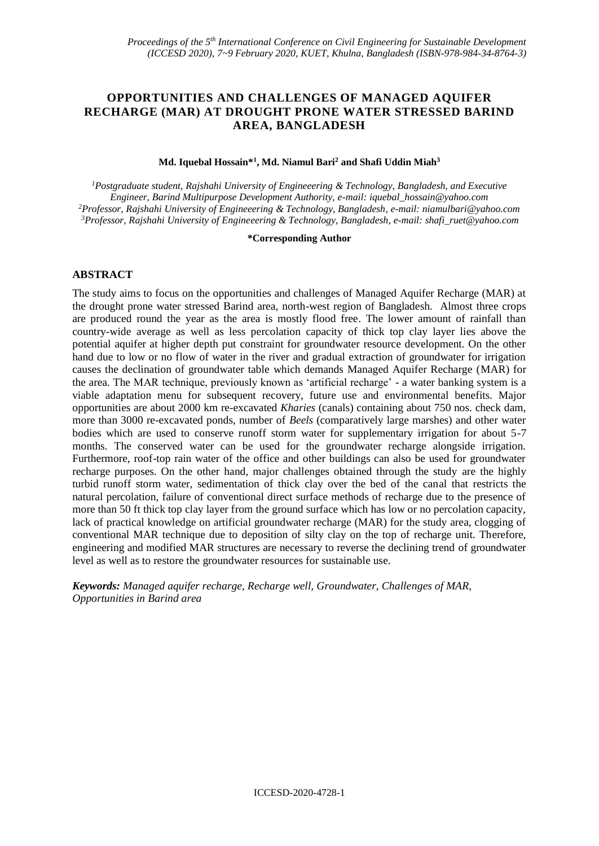# **OPPORTUNITIES AND CHALLENGES OF MANAGED AQUIFER RECHARGE (MAR) AT DROUGHT PRONE WATER STRESSED BARIND AREA, BANGLADESH**

#### **Md. Iquebal Hossain\*<sup>1</sup> , Md. Niamul Bari<sup>2</sup> and Shafi Uddin Miah<sup>3</sup>**

*Postgraduate student, Rajshahi University of Engineeering & Technology, Bangladesh, and Executive Engineer, Barind Multipurpose Development Authority, e-mail: iquebal\_hossain@yahoo.com Professor, Rajshahi University of Engineeering & Technology, Bangladesh, e-mail: niamulbari@yahoo.com Professor, Rajshahi University of Engineeering & Technology, Bangladesh, e-mail: shafi\_ruet@yahoo.com*

#### **\*Corresponding Author**

## **ABSTRACT**

The study aims to focus on the opportunities and challenges of Managed Aquifer Recharge (MAR) at the drought prone water stressed Barind area, north-west region of Bangladesh. Almost three crops are produced round the year as the area is mostly flood free. The lower amount of rainfall than country-wide average as well as less percolation capacity of thick top clay layer lies above the potential aquifer at higher depth put constraint for groundwater resource development. On the other hand due to low or no flow of water in the river and gradual extraction of groundwater for irrigation causes the declination of groundwater table which demands Managed Aquifer Recharge (MAR) for the area. The MAR technique, previously known as 'artificial recharge' - a water banking system is a viable adaptation menu for subsequent recovery, future use and environmental benefits. Major opportunities are about 2000 km re-excavated *Kharies* (canals) containing about 750 nos. check dam, more than 3000 re-excavated ponds, number of *Beels* (comparatively large marshes) and other water bodies which are used to conserve runoff storm water for supplementary irrigation for about 5-7 months. The conserved water can be used for the groundwater recharge alongside irrigation. Furthermore, roof-top rain water of the office and other buildings can also be used for groundwater recharge purposes. On the other hand, major challenges obtained through the study are the highly turbid runoff storm water, sedimentation of thick clay over the bed of the canal that restricts the natural percolation, failure of conventional direct surface methods of recharge due to the presence of more than 50 ft thick top clay layer from the ground surface which has low or no percolation capacity, lack of practical knowledge on artificial groundwater recharge (MAR) for the study area, clogging of conventional MAR technique due to deposition of silty clay on the top of recharge unit. Therefore, engineering and modified MAR structures are necessary to reverse the declining trend of groundwater level as well as to restore the groundwater resources for sustainable use.

*Keywords: Managed aquifer recharge, Recharge well, Groundwater, Challenges of MAR, Opportunities in Barind area*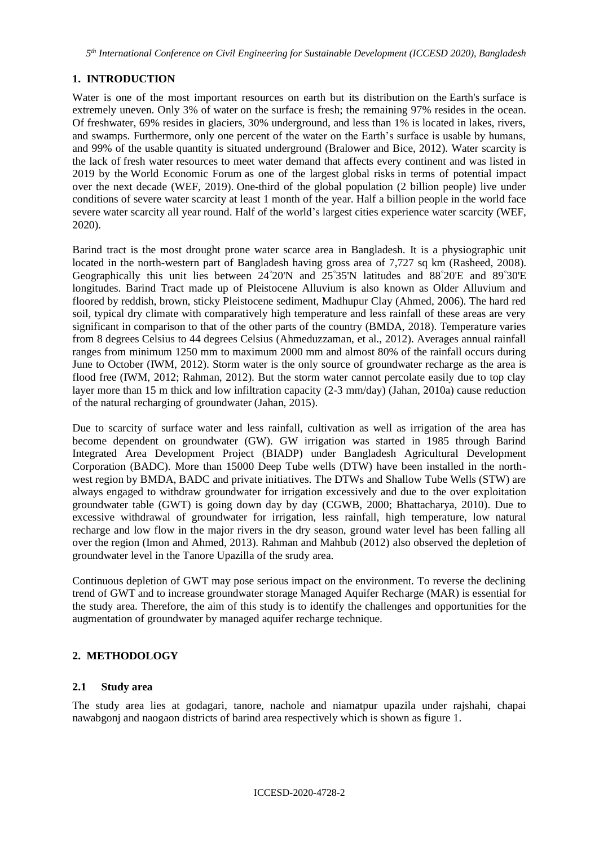*5 th International Conference on Civil Engineering for Sustainable Development (ICCESD 2020), Bangladesh*

# **1. INTRODUCTION**

Water is one of the most important resources on earth but its distribution on the Earth's surface is extremely uneven. Only 3% of water on the surface is fresh; the remaining 97% resides in the ocean. Of freshwater, 69% resides in glaciers, 30% underground, and less than 1% is located in lakes, rivers, and swamps. Furthermore, only one percent of the water on the Earth's surface is usable by humans, and 99% of the usable quantity is situated underground (Bralower and Bice, 2012). Water scarcity is the lack of fresh water resources to meet water demand that affects every continent and was listed in 2019 by the World Economic Forum as one of the largest global risks in terms of potential impact over the next decade (WEF, 2019). One-third of the global population (2 billion people) live under conditions of severe water scarcity at least 1 month of the year. Half a billion people in the world face severe water scarcity all year round. Half of the world's largest cities experience water scarcity (WEF, 2020).

Barind tract is the most drought prone water scarce area in Bangladesh. It is a physiographic unit located in the north-western part of Bangladesh having gross area of 7,727 sq km (Rasheed, 2008). Geographically this unit lies between 24°20'N and 25°35'N latitudes and 88°20'E and 89°30'E longitudes. Barind Tract made up of Pleistocene Alluvium is also known as Older Alluvium and floored by reddish, brown, sticky Pleistocene sediment, Madhupur Clay (Ahmed, 2006). The hard red soil, typical dry climate with comparatively high temperature and less rainfall of these areas are very significant in comparison to that of the other parts of the country (BMDA, 2018). Temperature varies from 8 degrees Celsius to 44 degrees Celsius (Ahmeduzzaman, et al., 2012). Averages annual rainfall ranges from minimum 1250 mm to maximum 2000 mm and almost 80% of the rainfall occurs during June to October (IWM, 2012). Storm water is the only source of groundwater recharge as the area is flood free (IWM, 2012; Rahman, 2012). But the storm water cannot percolate easily due to top clay layer more than 15 m thick and low infiltration capacity (2-3 mm/day) (Jahan, 2010a) cause reduction of the natural recharging of groundwater (Jahan, 2015).

Due to scarcity of surface water and less rainfall, cultivation as well as irrigation of the area has become dependent on groundwater (GW). GW irrigation was started in 1985 through Barind Integrated Area Development Project (BIADP) under Bangladesh Agricultural Development Corporation (BADC). More than 15000 Deep Tube wells (DTW) have been installed in the northwest region by BMDA, BADC and private initiatives. The DTWs and Shallow Tube Wells (STW) are always engaged to withdraw groundwater for irrigation excessively and due to the over exploitation groundwater table (GWT) is going down day by day (CGWB, 2000; Bhattacharya, 2010). Due to excessive withdrawal of groundwater for irrigation, less rainfall, high temperature, low natural recharge and low flow in the major rivers in the dry season, ground water level has been falling all over the region (Imon and Ahmed, 2013). Rahman and Mahbub (2012) also observed the depletion of groundwater level in the Tanore Upazilla of the srudy area.

Continuous depletion of GWT may pose serious impact on the environment. To reverse the declining trend of GWT and to increase groundwater storage Managed Aquifer Recharge (MAR) is essential for the study area. Therefore, the aim of this study is to identify the challenges and opportunities for the augmentation of groundwater by managed aquifer recharge technique.

## **2. METHODOLOGY**

## **2.1 Study area**

The study area lies at godagari, tanore, nachole and niamatpur upazila under rajshahi, chapai nawabgonj and naogaon districts of barind area respectively which is shown as figure 1.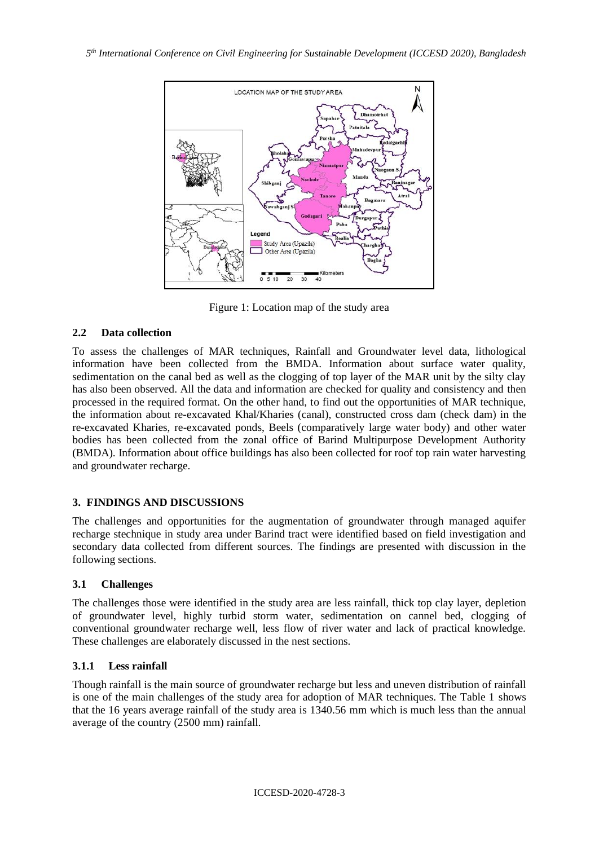

Figure 1: Location map of the study area

# **2.2 Data collection**

To assess the challenges of MAR techniques, Rainfall and Groundwater level data, lithological information have been collected from the BMDA. Information about surface water quality, sedimentation on the canal bed as well as the clogging of top layer of the MAR unit by the silty clay has also been observed. All the data and information are checked for quality and consistency and then processed in the required format. On the other hand, to find out the opportunities of MAR technique, the information about re-excavated Khal/Kharies (canal), constructed cross dam (check dam) in the re-excavated Kharies, re-excavated ponds, Beels (comparatively large water body) and other water bodies has been collected from the zonal office of Barind Multipurpose Development Authority (BMDA). Information about office buildings has also been collected for roof top rain water harvesting and groundwater recharge.

## **3. FINDINGS AND DISCUSSIONS**

The challenges and opportunities for the augmentation of groundwater through managed aquifer recharge stechnique in study area under Barind tract were identified based on field investigation and secondary data collected from different sources. The findings are presented with discussion in the following sections.

## **3.1 Challenges**

The challenges those were identified in the study area are less rainfall, thick top clay layer, depletion of groundwater level, highly turbid storm water, sedimentation on cannel bed, clogging of conventional groundwater recharge well, less flow of river water and lack of practical knowledge. These challenges are elaborately discussed in the nest sections.

## **3.1.1 Less rainfall**

Though rainfall is the main source of groundwater recharge but less and uneven distribution of rainfall is one of the main challenges of the study area for adoption of MAR techniques. The Table 1 shows that the 16 years average rainfall of the study area is 1340.56 mm which is much less than the annual average of the country (2500 mm) rainfall.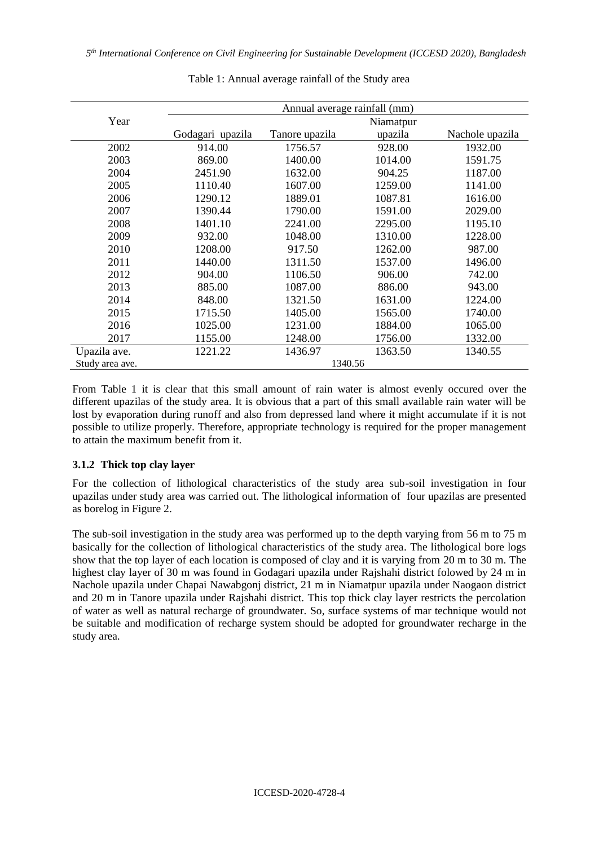|                 | Annual average rainfall (mm) |                |         |                 |  |
|-----------------|------------------------------|----------------|---------|-----------------|--|
| Year            | Niamatpur                    |                |         |                 |  |
|                 | Godagari upazila             | Tanore upazila | upazila | Nachole upazila |  |
| 2002            | 914.00                       | 1756.57        | 928.00  | 1932.00         |  |
| 2003            | 869.00                       | 1400.00        | 1014.00 | 1591.75         |  |
| 2004            | 2451.90                      | 1632.00        | 904.25  | 1187.00         |  |
| 2005            | 1110.40                      | 1607.00        | 1259.00 | 1141.00         |  |
| 2006            | 1290.12                      | 1889.01        | 1087.81 | 1616.00         |  |
| 2007            | 1390.44                      | 1790.00        | 1591.00 | 2029.00         |  |
| 2008            | 1401.10                      | 2241.00        | 2295.00 | 1195.10         |  |
| 2009            | 932.00                       | 1048.00        | 1310.00 | 1228.00         |  |
| 2010            | 1208.00                      | 917.50         | 1262.00 | 987.00          |  |
| 2011            | 1440.00                      | 1311.50        | 1537.00 | 1496.00         |  |
| 2012            | 904.00                       | 1106.50        | 906.00  | 742.00          |  |
| 2013            | 885.00                       | 1087.00        | 886.00  | 943.00          |  |
| 2014            | 848.00                       | 1321.50        | 1631.00 | 1224.00         |  |
| 2015            | 1715.50                      | 1405.00        | 1565.00 | 1740.00         |  |
| 2016            | 1025.00                      | 1231.00        | 1884.00 | 1065.00         |  |
| 2017            | 1155.00                      | 1248.00        | 1756.00 | 1332.00         |  |
| Upazila ave.    | 1221.22                      | 1436.97        | 1363.50 | 1340.55         |  |
| Study area ave. | 1340.56                      |                |         |                 |  |

Table 1: Annual average rainfall of the Study area

From Table 1 it is clear that this small amount of rain water is almost evenly occured over the different upazilas of the study area. It is obvious that a part of this small available rain water will be lost by evaporation during runoff and also from depressed land where it might accumulate if it is not possible to utilize properly. Therefore, appropriate technology is required for the proper management to attain the maximum benefit from it.

#### **3.1.2 Thick top clay layer**

For the collection of lithological characteristics of the study area sub-soil investigation in four upazilas under study area was carried out. The lithological information of four upazilas are presented as borelog in Figure 2.

The sub-soil investigation in the study area was performed up to the depth varying from 56 m to 75 m basically for the collection of lithological characteristics of the study area. The lithological bore logs show that the top layer of each location is composed of clay and it is varying from 20 m to 30 m. The highest clay layer of 30 m was found in Godagari upazila under Rajshahi district folowed by 24 m in Nachole upazila under Chapai Nawabgonj district, 21 m in Niamatpur upazila under Naogaon district and 20 m in Tanore upazila under Rajshahi district. This top thick clay layer restricts the percolation of water as well as natural recharge of groundwater. So, surface systems of mar technique would not be suitable and modification of recharge system should be adopted for groundwater recharge in the study area.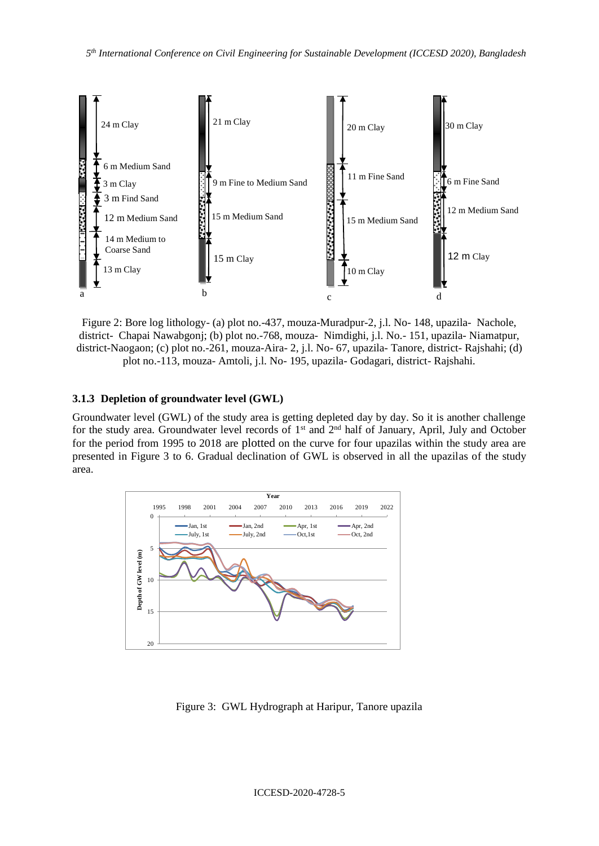

Figure 2: Bore log lithology- (a) plot no.-437, mouza-Muradpur-2, j.l. No- 148, upazila- Nachole, district- Chapai Nawabgonj; (b) plot no.-768, mouza- Nimdighi, j.l. No.- 151, upazila- Niamatpur, district-Naogaon; (c) plot no.-261, mouza-Aira- 2, j.l. No- 67, upazila- Tanore, district- Rajshahi; (d) plot no.-113, mouza- Amtoli, j.l. No- 195, upazila- Godagari, district- Rajshahi.

#### **3.1.3 Depletion of groundwater level (GWL)**

Groundwater level (GWL) of the study area is getting depleted day by day. So it is another challenge for the study area. Groundwater level records of 1<sup>st</sup> and 2<sup>nd</sup> half of January, April, July and October for the period from 1995 to 2018 are plotted on the curve for four upazilas within the study area are presented in Figure 3 to 6. Gradual declination of GWL is observed in all the upazilas of the study area.



Figure 3:GWL Hydrograph at Haripur, Tanore upazila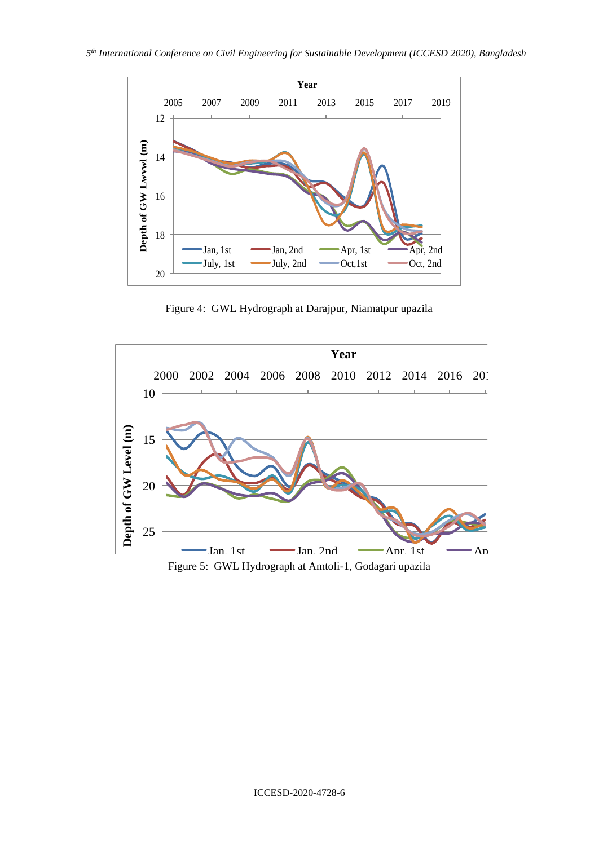

Figure 4:GWL Hydrograph at Darajpur, Niamatpur upazila

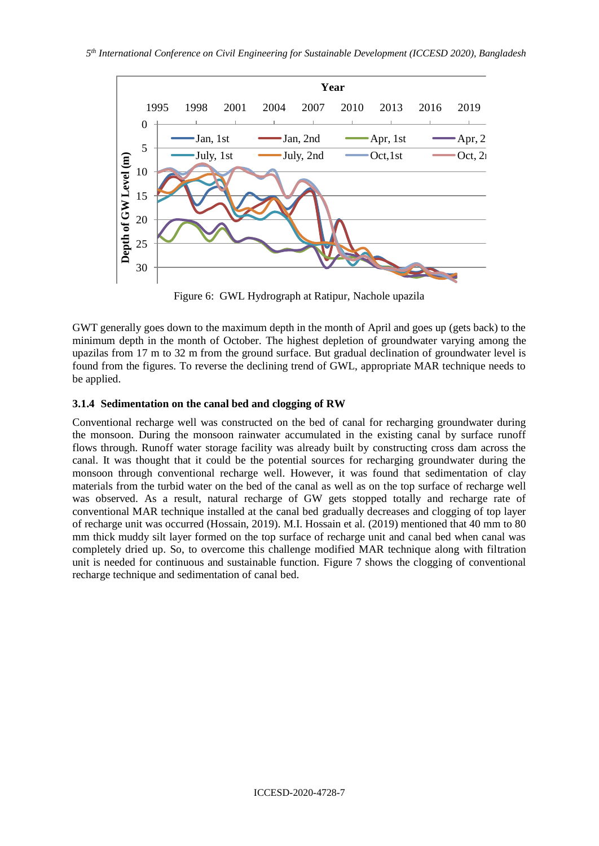

Figure 6:GWL Hydrograph at Ratipur, Nachole upazila

GWT generally goes down to the maximum depth in the month of April and goes up (gets back) to the minimum depth in the month of October. The highest depletion of groundwater varying among the upazilas from 17 m to 32 m from the ground surface. But gradual declination of groundwater level is found from the figures. To reverse the declining trend of GWL, appropriate MAR technique needs to be applied.

## **3.1.4 Sedimentation on the canal bed and clogging of RW**

Conventional recharge well was constructed on the bed of canal for recharging groundwater during the monsoon. During the monsoon rainwater accumulated in the existing canal by surface runoff flows through. Runoff water storage facility was already built by constructing cross dam across the canal. It was thought that it could be the potential sources for recharging groundwater during the monsoon through conventional recharge well. However, it was found that sedimentation of clay materials from the turbid water on the bed of the canal as well as on the top surface of recharge well was observed. As a result, natural recharge of GW gets stopped totally and recharge rate of conventional MAR technique installed at the canal bed gradually decreases and clogging of top layer of recharge unit was occurred (Hossain, 2019). M.I. Hossain et al. (2019) mentioned that 40 mm to 80 mm thick muddy silt layer formed on the top surface of recharge unit and canal bed when canal was completely dried up. So, to overcome this challenge modified MAR technique along with filtration unit is needed for continuous and sustainable function. Figure 7 shows the clogging of conventional recharge technique and sedimentation of canal bed.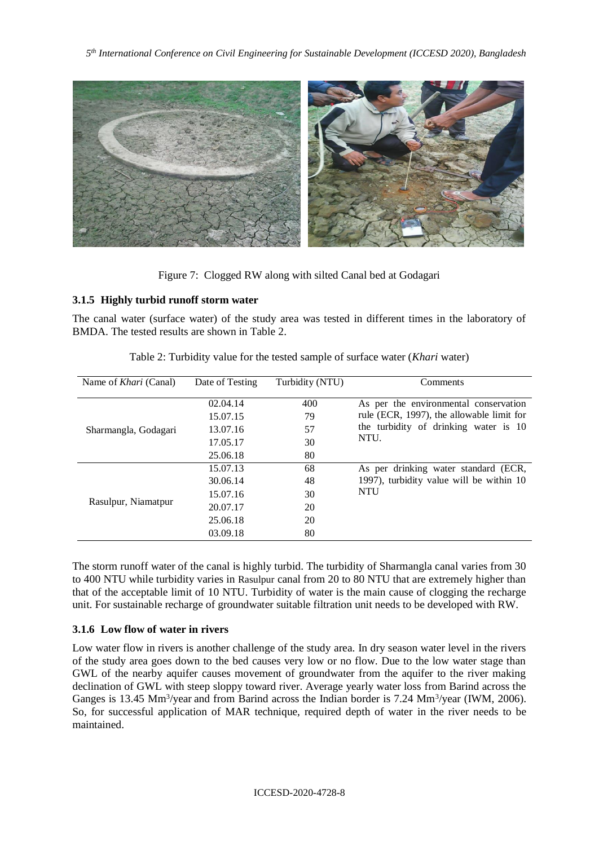

Figure 7:Clogged RW along with silted Canal bed at Godagari

## **3.1.5 Highly turbid runoff storm water**

The canal water (surface water) of the study area was tested in different times in the laboratory of BMDA. The tested results are shown in Table 2.

| Name of <i>Khari</i> (Canal) | Date of Testing | Turbidity (NTU) | Comments                                                                                                                            |  |
|------------------------------|-----------------|-----------------|-------------------------------------------------------------------------------------------------------------------------------------|--|
|                              | 02.04.14        | 400             | As per the environmental conservation<br>rule (ECR, 1997), the allowable limit for<br>the turbidity of drinking water is 10<br>NTU. |  |
|                              | 15.07.15        | 79              |                                                                                                                                     |  |
| Sharmangla, Godagari         | 13.07.16        | 57              |                                                                                                                                     |  |
|                              | 17.05.17        | 30              |                                                                                                                                     |  |
|                              | 25.06.18        | 80              |                                                                                                                                     |  |
|                              | 15.07.13        | 68              | As per drinking water standard (ECR,                                                                                                |  |
|                              | 30.06.14        | 48              | 1997), turbidity value will be within 10<br><b>NTU</b>                                                                              |  |
|                              | 15.07.16        | 30              |                                                                                                                                     |  |
| Rasulpur, Niamatpur          | 20.07.17        | 20              |                                                                                                                                     |  |
|                              | 25.06.18        | 20              |                                                                                                                                     |  |
|                              | 03.09.18        | 80              |                                                                                                                                     |  |

Table 2: Turbidity value for the tested sample of surface water (*Khari* water)

The storm runoff water of the canal is highly turbid. The turbidity of Sharmangla canal varies from 30 to 400 NTU while turbidity varies in Rasulpur canal from 20 to 80 NTU that are extremely higher than that of the acceptable limit of 10 NTU. Turbidity of water is the main cause of clogging the recharge unit. For sustainable recharge of groundwater suitable filtration unit needs to be developed with RW.

## **3.1.6 Low flow of water in rivers**

Low water flow in rivers is another challenge of the study area. In dry season water level in the rivers of the study area goes down to the bed causes very low or no flow. Due to the low water stage than GWL of the nearby aquifer causes movement of groundwater from the aquifer to the river making declination of GWL with steep sloppy toward river. Average yearly water loss from Barind across the Ganges is 13.45 Mm<sup>3</sup>/year and from Barind across the Indian border is 7.24 Mm<sup>3</sup>/year (IWM, 2006). So, for successful application of MAR technique, required depth of water in the river needs to be maintained.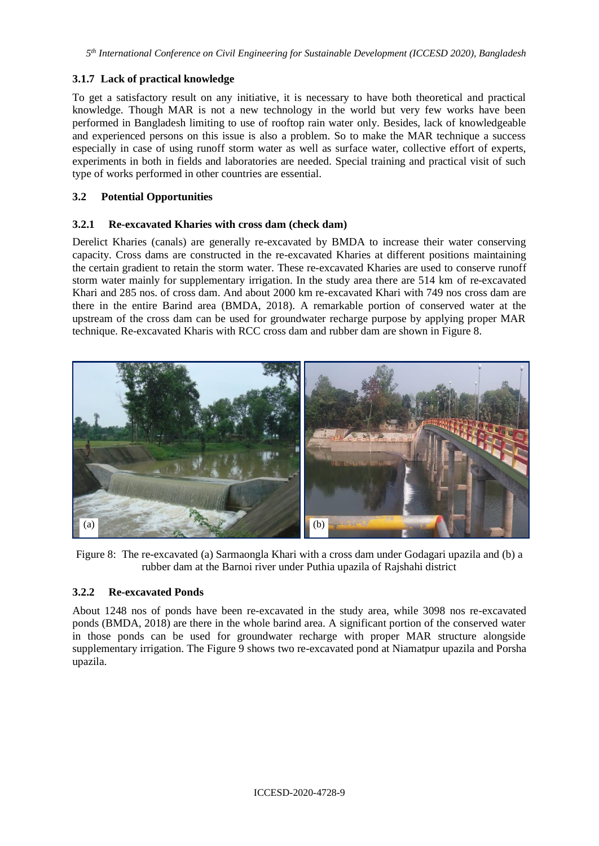## **3.1.7 Lack of practical knowledge**

To get a satisfactory result on any initiative, it is necessary to have both theoretical and practical knowledge. Though MAR is not a new technology in the world but very few works have been performed in Bangladesh limiting to use of rooftop rain water only. Besides, lack of knowledgeable and experienced persons on this issue is also a problem. So to make the MAR technique a success especially in case of using runoff storm water as well as surface water, collective effort of experts, experiments in both in fields and laboratories are needed. Special training and practical visit of such type of works performed in other countries are essential.

## **3.2 Potential Opportunities**

## **3.2.1 Re-excavated Kharies with cross dam (check dam)**

Derelict Kharies (canals) are generally re-excavated by BMDA to increase their water conserving capacity. Cross dams are constructed in the re-excavated Kharies at different positions maintaining the certain gradient to retain the storm water. These re-excavated Kharies are used to conserve runoff storm water mainly for supplementary irrigation. In the study area there are 514 km of re-excavated Khari and 285 nos. of cross dam. And about 2000 km re-excavated Khari with 749 nos cross dam are there in the entire Barind area (BMDA, 2018). A remarkable portion of conserved water at the upstream of the cross dam can be used for groundwater recharge purpose by applying proper MAR technique. Re-excavated Kharis with RCC cross dam and rubber dam are shown in Figure 8.



Figure 8:The re-excavated (a) Sarmaongla Khari with a cross dam under Godagari upazila and (b) a rubber dam at the Barnoi river under Puthia upazila of Rajshahi district

#### **3.2.2 Re-excavated Ponds**

About 1248 nos of ponds have been re-excavated in the study area, while 3098 nos re-excavated ponds (BMDA, 2018) are there in the whole barind area. A significant portion of the conserved water in those ponds can be used for groundwater recharge with proper MAR structure alongside supplementary irrigation. The Figure 9 shows two re-excavated pond at Niamatpur upazila and Porsha upazila.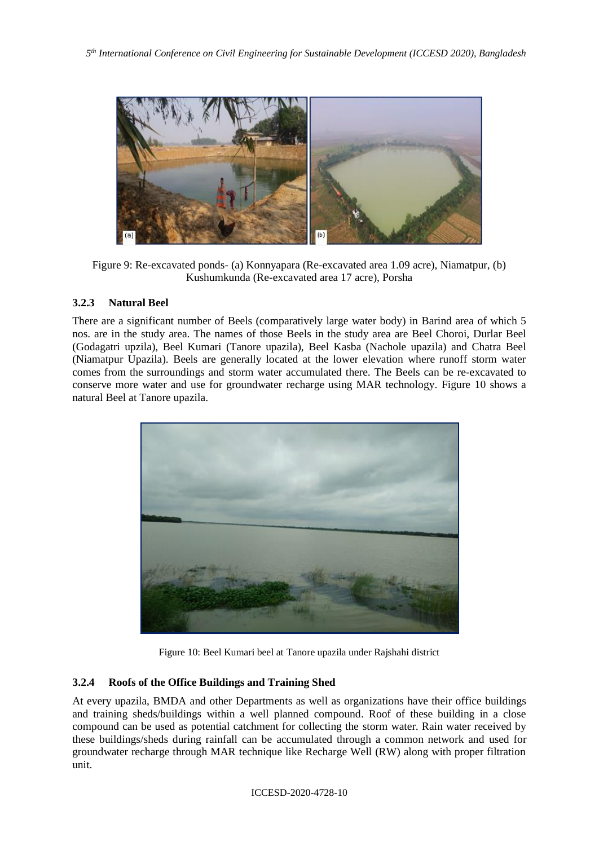

Figure 9: Re-excavated ponds- (a) Konnyapara (Re-excavated area 1.09 acre), Niamatpur, (b) Kushumkunda (Re-excavated area 17 acre), Porsha

## **3.2.3 Natural Beel**

There are a significant number of Beels (comparatively large water body) in Barind area of which 5 nos. are in the study area. The names of those Beels in the study area are Beel Choroi, Durlar Beel (Godagatri upzila), Beel Kumari (Tanore upazila), Beel Kasba (Nachole upazila) and Chatra Beel (Niamatpur Upazila). Beels are generally located at the lower elevation where runoff storm water comes from the surroundings and storm water accumulated there. The Beels can be re-excavated to conserve more water and use for groundwater recharge using MAR technology. Figure 10 shows a natural Beel at Tanore upazila.



Figure 10: Beel Kumari beel at Tanore upazila under Rajshahi district

## **3.2.4 Roofs of the Office Buildings and Training Shed**

At every upazila, BMDA and other Departments as well as organizations have their office buildings and training sheds/buildings within a well planned compound. Roof of these building in a close compound can be used as potential catchment for collecting the storm water. Rain water received by these buildings/sheds during rainfall can be accumulated through a common network and used for groundwater recharge through MAR technique like Recharge Well (RW) along with proper filtration unit.